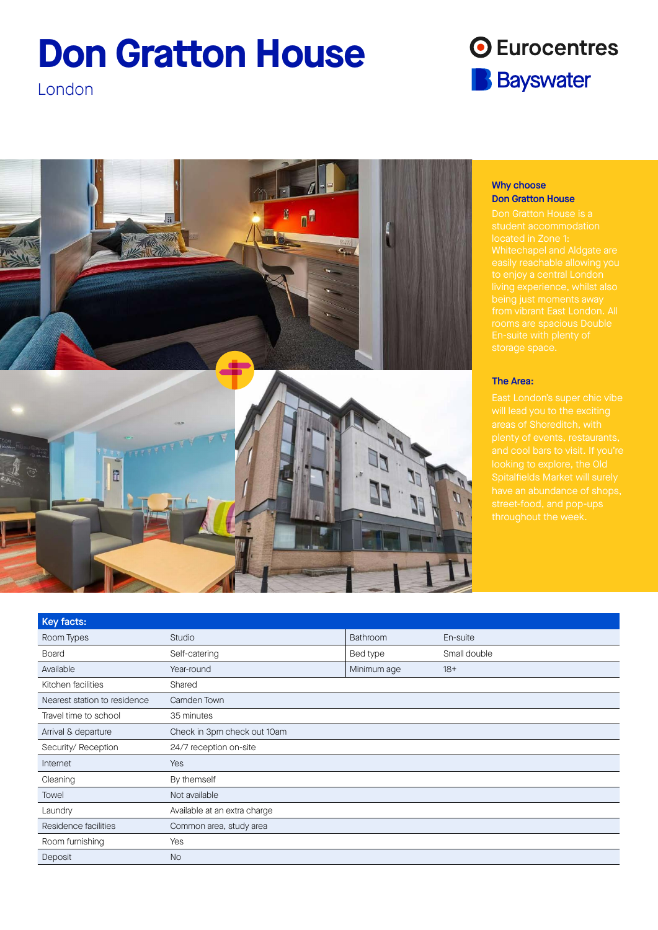# **Don Gratton House**

London







## Why choose Don Gratton House

Don Gratton House is a Whitechapel and Aldgate are

## The Area:

| Studio                       | Bathroom    | En-suite     |
|------------------------------|-------------|--------------|
| Self-catering                | Bed type    | Small double |
| Year-round                   | Minimum age | $18+$        |
| Shared                       |             |              |
| Camden Town                  |             |              |
| 35 minutes                   |             |              |
| Check in 3pm check out 10am  |             |              |
| 24/7 reception on-site       |             |              |
| Yes                          |             |              |
| By themself                  |             |              |
| Not available                |             |              |
| Available at an extra charge |             |              |
| Common area, study area      |             |              |
| Yes                          |             |              |
| <b>No</b>                    |             |              |
|                              |             |              |